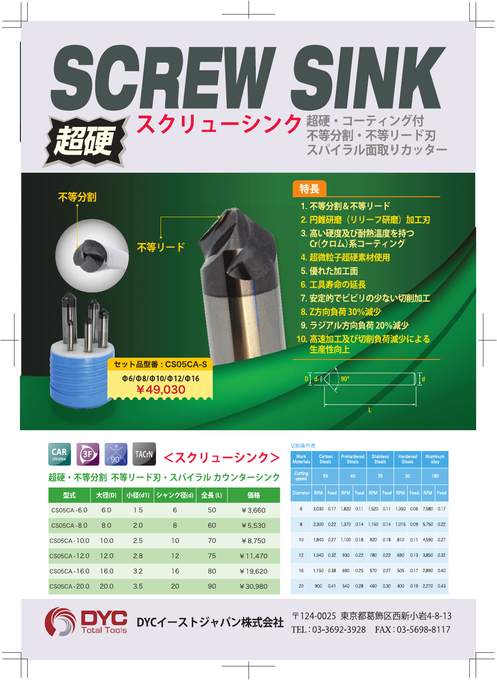



|  |  |  |  | CAR 3F 3 TACrN <スクリューシンク> |
|--|--|--|--|---------------------------|
|--|--|--|--|---------------------------|

超硬・不等分割 不等リード刃・スパイラル カウンターシンク

| 型式             | 大径(D) | 小径(d1) | シャンク径(d) | 全長(L) | 価格      |
|----------------|-------|--------|----------|-------|---------|
| $CSO5CA-6.0$   | 6.0   | 1.5    | 6        | 50    | ¥3.660  |
| $CSO5CA - 8.0$ | 8.0   | 2.0    | 8        | 60    | ¥ 5,530 |
| $CS05CA-10.0$  | 10.0  | 2.5    | 10       | 70    | ¥8.750  |
| CS05CA-12.0    | 12.0  | 2.8    | 12       | 75    | ¥11.470 |
| $CSO5CA-16.0$  | 16.0  | 3.2    | 16       | 80    | ¥19.620 |
| CS05CA-20.0    | 20.0  | 3.5    | 20       | 90    | ¥30,980 |

DYCイーストジャパン株式会社

| 叨刖余什衣                           |                         |      |                              |      |                                   |      |                                  |      |                          |      |
|---------------------------------|-------------------------|------|------------------------------|------|-----------------------------------|------|----------------------------------|------|--------------------------|------|
| <b>Work</b><br><b>Materials</b> | Carbon<br><b>Steels</b> |      | Prehardened<br><b>Steels</b> |      | <b>Stainless</b><br><b>Steels</b> |      | <b>Hardened</b><br><b>Steels</b> |      | <b>Aluminum</b><br>alloy |      |
| Cutting<br>speed                |                         | 55   | 40                           |      |                                   | 35   | 30                               |      |                          | 180  |
| <b>Diameter</b>                 | <b>RPM</b>              | Feed | <b>RPM</b>                   | Feed | <b>RPM</b>                        | Feed | <b>RPM</b>                       | Feed | <b>RPM</b>               | Feed |
| 6                               | 3.030                   | 0.17 | 1.820                        | 0.11 | 1.520                             | 0.11 | 1.350                            | 0.06 | 7.580                    | 0.17 |
| 8                               | 2.300                   | 0.22 | 1,370                        | 0.14 | 1,150                             | 0.14 | 1.015                            | 0.09 | 5.750                    | 0.22 |
| 10                              | 1.840                   | 0.27 | 1.100                        | 018  | 920                               | 0.18 | 810                              | 0.11 | 4.590                    | 0.27 |
| 12                              | 1,540                   | 0.32 | 930                          | 0.22 | 780                               | 0.22 | 690                              | 0.13 | 3,850                    | 0.32 |
| 16                              | 1.150                   | 0.38 | 690                          | 0.25 | 570                               | 0.27 | 505                              | 0.17 | 2.890                    | 0.40 |
| 20                              | 900                     | 041  | 540                          | 0.28 | 460                               | 0.30 | 400                              | 0.19 | 2,270                    | 0.43 |
|                                 |                         |      |                              |      |                                   |      |                                  |      |                          |      |

〒124-0025 東京都葛飾区西新小岩4-8-13 TEL: 03-3692-3928 FAX: 03-5698-8117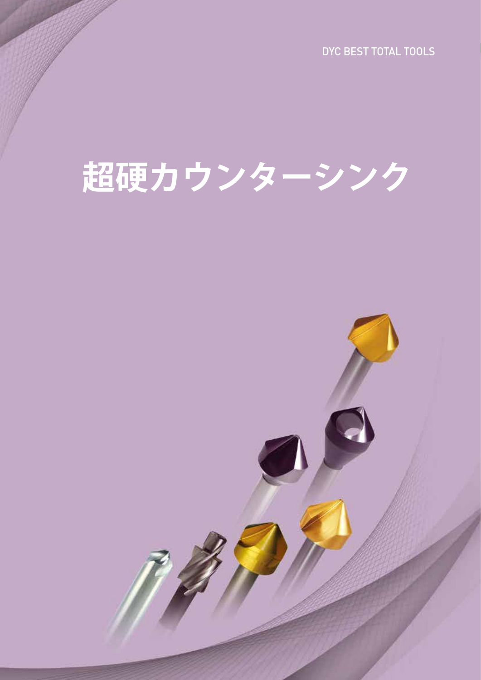DYC BEST TOTAL TOOLS

# 超硬カウンターシ

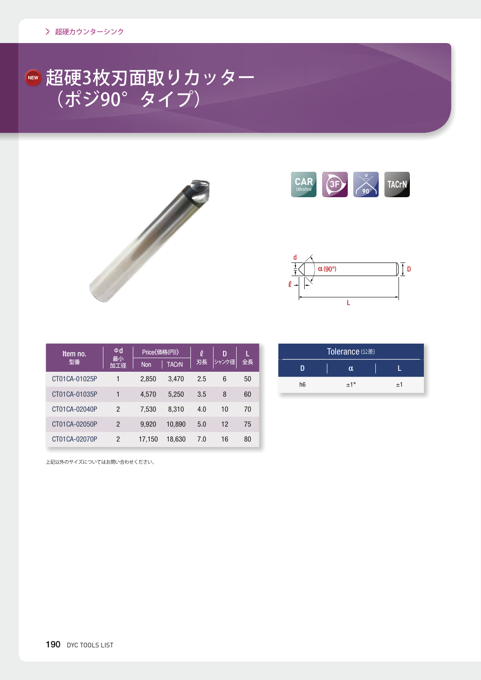### 超硬3枚刃面取りカッター (ポジ90°タイプ) **NEW**







| Item no.      | Φd             | Price〈価格(円)〉 |              | l   | D     |    |
|---------------|----------------|--------------|--------------|-----|-------|----|
| 型番            | 最小<br>加工径      |              | <b>TACrN</b> | 刃長  | シャンク径 | 全長 |
| CT01CA-01025P | 1              | 2,850        | 3.470        | 2.5 | 6     | 50 |
| CT01CA-01035P | 1              | 4,570        | 5.250        | 3.5 | 8     | 60 |
| CT01CA-02040P | $\mathfrak{p}$ | 7,530        | 8,310        | 4.0 | 10    | 70 |
| CT01CA-02050P | $\mathfrak{p}$ | 9,920        | 10,890       | 5.0 | 12    | 75 |
| CT01CA-02070P | 2              | 17.150       | 18.630       | 7.0 | 16    | 80 |

| Tolerance (公差) |              |    |  |  |  |  |  |
|----------------|--------------|----|--|--|--|--|--|
|                | α            |    |  |  |  |  |  |
| h <sub>6</sub> | $+1^{\circ}$ | ±1 |  |  |  |  |  |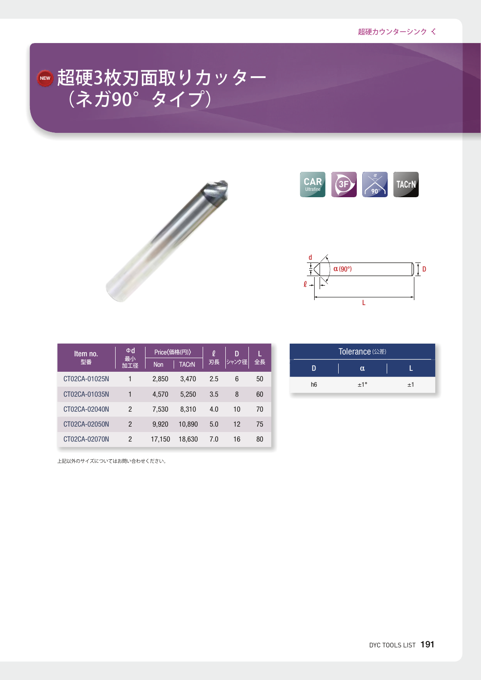### 超硬3枚刃面取りカッター (ネガ90°タイプ) **NEW**







| Item no.      | Φd            |            | Price〈価格(円)〉 |     | D     |    |
|---------------|---------------|------------|--------------|-----|-------|----|
| 型番            | 最小<br>加工径     | <b>Non</b> | <b>TACrN</b> | 刃長  | シャンク径 | 全長 |
| CT02CA-01025N | 1             | 2,850      | 3.470        | 2.5 | 6     | 50 |
| CT02CA-01035N | 1             | 4,570      | 5,250        | 3.5 | 8     | 60 |
| CT02CA-02040N | 2             | 7,530      | 8,310        | 4.0 | 10    | 70 |
| CT02CA-02050N | $\mathcal{P}$ | 9,920      | 10,890       | 5.0 | 12    | 75 |
| CT02CA-02070N | 2             | 17,150     | 18,630       | 7.0 | 16    | 80 |

Tolerance (公差) D | α | L h6  $\pm 1^{\circ}$   $\pm 1$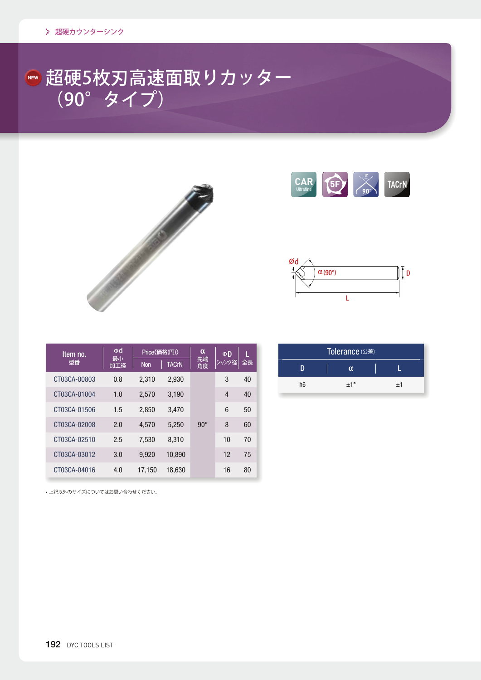### 超硬5枚刃高速面取りカッター  $(90^\circ$  タイプ) **NEW**







| Item no.     | Φd<br>最小 | Price〈価格(円)〉 |              | α<br>先端      | ΦD    | г  |
|--------------|----------|--------------|--------------|--------------|-------|----|
| 型番           | 加工径      | <b>Non</b>   | <b>TACrN</b> | 角度           | シャンク径 | 全長 |
| CT03CA-00803 | 0.8      | 2,310        | 2,930        |              | 3     | 40 |
| CT03CA-01004 | 1.0      | 2,570        | 3.190        |              | 4     | 40 |
| CT03CA-01506 | 1.5      | 2,850        | 3,470        |              | 6     | 50 |
| CT03CA-02008 | 2.0      | 4,570        | 5,250        | $90^{\circ}$ | 8     | 60 |
| CT03CA-02510 | 2.5      | 7,530        | 8,310        |              | 10    | 70 |
| CT03CA-03012 | 3.0      | 9,920        | 10,890       |              | 12    | 75 |
| CT03CA-04016 | 4.0      | 17.150       | 18.630       |              | 16    | 80 |

| Tolerance (公差) |              |      |  |  |  |  |  |
|----------------|--------------|------|--|--|--|--|--|
|                | Ω.           |      |  |  |  |  |  |
| h <sub>6</sub> | $+1^{\circ}$ | $+1$ |  |  |  |  |  |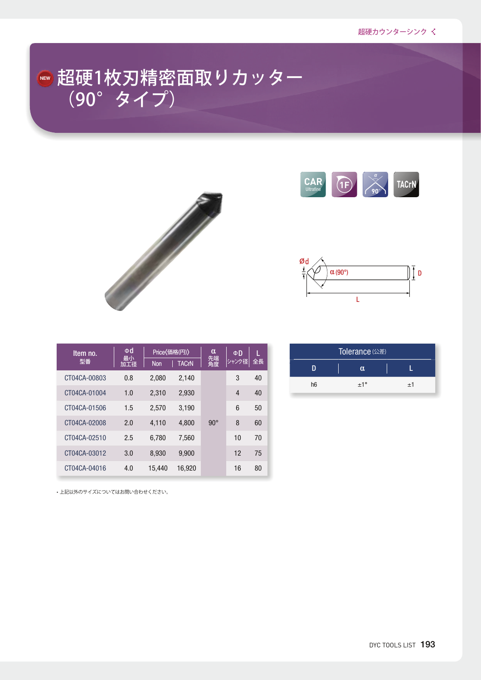### 超硬1枚刃精密面取りカッター  $(90^\circ$  タイプ) **NEW**



| <b>CAR</b> |  |  | TACrN |
|------------|--|--|-------|
|------------|--|--|-------|



| Item no.     | Φd<br>最小 | Price(価格(円)) |              | α            | ΦD    | г  |
|--------------|----------|--------------|--------------|--------------|-------|----|
| 型番           | 加工径      | <b>Non</b>   | <b>TACrN</b> | 先端<br>角度     | シャンク径 | 全長 |
| CT04CA-00803 | 0.8      | 2,080        | 2,140        |              | 3     | 40 |
| CT04CA-01004 | 1.0      | 2,310        | 2,930        |              | 4     | 40 |
| CT04CA-01506 | 1.5      | 2,570        | 3,190        |              | 6     | 50 |
| CT04CA-02008 | 2.0      | 4,110        | 4,800        | $90^{\circ}$ | 8     | 60 |
| CT04CA-02510 | 2.5      | 6,780        | 7,560        |              | 10    | 70 |
| CT04CA-03012 | 3.0      | 8,930        | 9,900        |              | 12    | 75 |
| CT04CA-04016 | 4.0      | 15.440       | 16.920       |              | 16    | 80 |

| Tolerance (公差) |              |    |  |  |  |  |  |
|----------------|--------------|----|--|--|--|--|--|
|                | α            |    |  |  |  |  |  |
| h <sub>6</sub> | $+1^{\circ}$ | ±1 |  |  |  |  |  |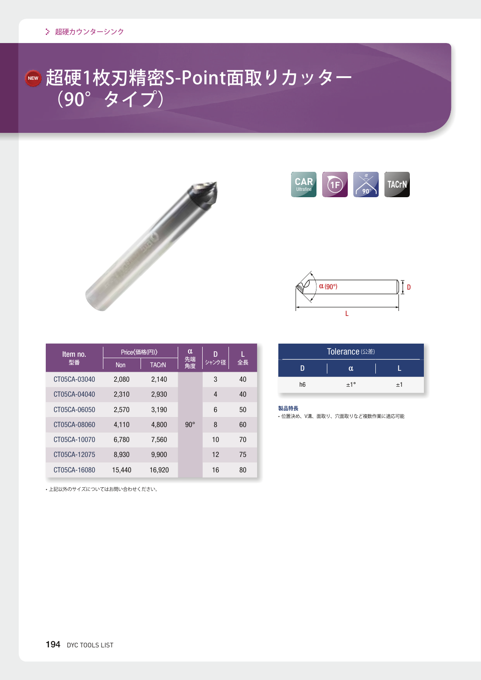### 超硬1枚刃精密S-Point面取りカッター  $(90^\circ$  タイプ) **NEW**







| Item no.     |            | Price〈価格(円)〉 |            | D     |    |
|--------------|------------|--------------|------------|-------|----|
| 型番           | <b>Non</b> | <b>TACrN</b> | 先端<br>角度   | シャンク径 | 全長 |
| CT05CA-03040 | 2,080      | 2,140        |            | 3     | 40 |
| CT05CA-04040 | 2.310      | 2,930        |            | 4     | 40 |
| CT05CA-06050 | 2,570      | 3.190        |            | 6     | 50 |
| CT05CA-08060 | 4,110      | 4,800        | $90^\circ$ | 8     | 60 |
| CT05CA-10070 | 6,780      | 7,560        |            | 10    | 70 |
| CT05CA-12075 | 8,930      | 9,900        |            | 12    | 75 |
| CT05CA-16080 | 15,440     | 16.920       |            | 16    | 80 |

| Tolerance (公差) |     |    |  |  |  |  |
|----------------|-----|----|--|--|--|--|
|                | α   |    |  |  |  |  |
| h <sub>6</sub> | ±1° | ±1 |  |  |  |  |

#### **製品特長**

• 位置決め、V溝、面取り、穴面取りなど複数作業に適応可能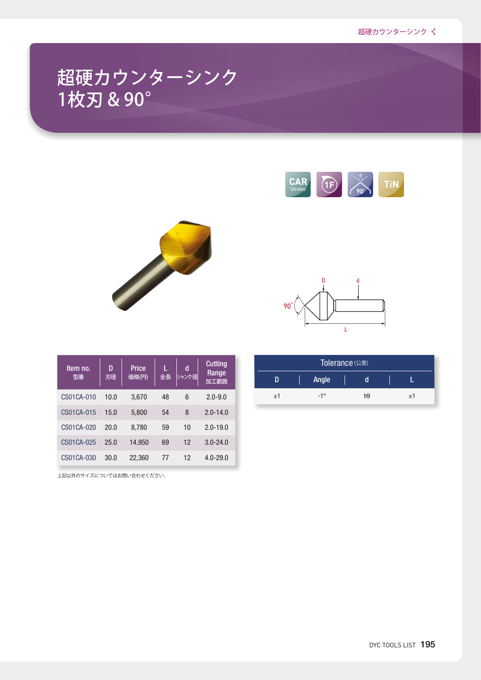### 超硬カウンターシンク 1枚刃 & 90°





| Item no.<br>型番 | D<br>刃径 | Price<br>価格(円) | L<br>全長 | d<br>シャンク径 | <b>Cutting</b><br>Range<br>加工範囲 |
|----------------|---------|----------------|---------|------------|---------------------------------|
| CS01CA-010     | 10.0    | 3,670          | 48      | 6          | $2.0 - 9.0$                     |
| CS01CA-015     | 15.0    | 5,800          | 54      | 8          | $2.0 - 14.0$                    |
| CS01CA-020     | 20.0    | 8,780          | 59      | 10         | $2.0 - 19.0$                    |
| CS01CA-025     | 25.0    | 14,950         | 69      | 12         | $3.0 - 24.0$                    |
| CS01CA-030     | 30.0    | 22,360         | 77      | 12         | $4.0 - 29.0$                    |

 $90<sup>°</sup>$ L

| Tolerance (公差) |              |                |         |  |  |  |  |  |
|----------------|--------------|----------------|---------|--|--|--|--|--|
| n              | Angle        |                |         |  |  |  |  |  |
| ±1             | $-1^{\circ}$ | h <sub>9</sub> | $\pm 1$ |  |  |  |  |  |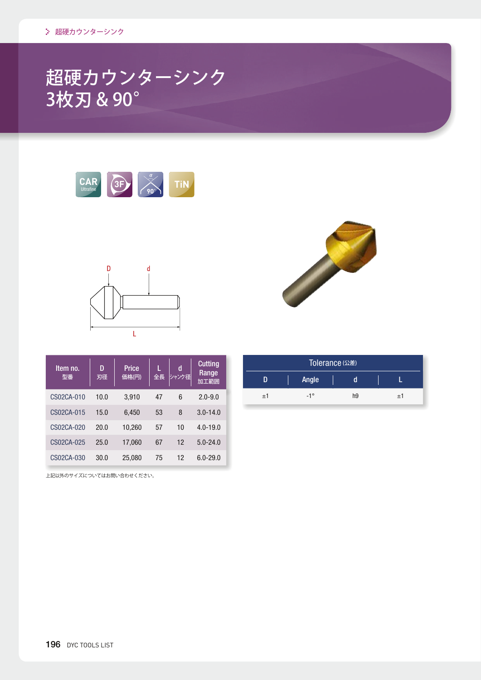### 超硬カウンターシンク 3枚刃 & 90°





| Item no.<br>型番 | D<br>刃径 | Price<br>価格(円) | L<br>全長 | d<br>シャンク径 | <b>Cutting</b><br>Range<br>加工範囲 |
|----------------|---------|----------------|---------|------------|---------------------------------|
| CS02CA-010     | 10.0    | 3,910          | 47      | 6          | $2.0 - 9.0$                     |
| CS02CA-015     | 15.0    | 6,450          | 53      | 8          | $3.0 - 14.0$                    |
| CS02CA-020     | 20.0    | 10.260         | 57      | 10         | $4.0 - 19.0$                    |
| CS02CA-025     | 25.0    | 17,060         | 67      | 12         | $5.0 - 24.0$                    |
| CS02CA-030     | 30.0    | 25,080         | 75      | 12         | $6.0 - 29.0$                    |



| Tolerance (公差) |              |                |  |    |  |  |  |  |  |
|----------------|--------------|----------------|--|----|--|--|--|--|--|
|                | Angle        |                |  |    |  |  |  |  |  |
| $+1$           | $-1^{\circ}$ | h <sub>9</sub> |  | ±1 |  |  |  |  |  |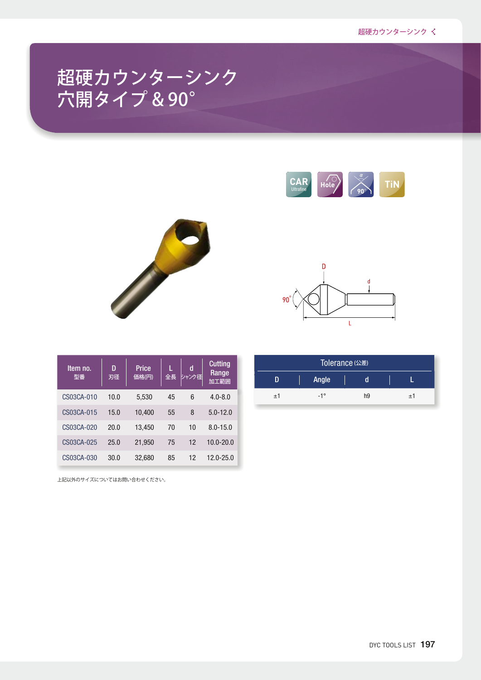### 超硬カウンターシンク 穴開タイプ & 90°







| Item no.<br>型番 | D<br>刃径 | <b>Price</b><br>価格(円) | 全長 | d<br>シャンク径 | <b>Cutting</b><br>Range<br>加工範囲 |
|----------------|---------|-----------------------|----|------------|---------------------------------|
| CS03CA-010     | 10.0    | 5,530                 | 45 | 6          | $4.0 - 8.0$                     |
| CS03CA-015     | 15.0    | 10,400                | 55 | 8          | $5.0 - 12.0$                    |
| CS03CA-020     | 20.0    | 13,450                | 70 | 10         | $8.0 - 15.0$                    |
| CS03CA-025     | 25.0    | 21,950                | 75 | 12         | $10.0 - 20.0$                   |
| CS03CA-030     | 30.0    | 32,680                | 85 | 12         | $12.0 - 25.0$                   |

| Tolerance (公差) |              |    |  |    |  |  |  |  |
|----------------|--------------|----|--|----|--|--|--|--|
|                | <b>Angle</b> |    |  |    |  |  |  |  |
| ±1             | $-1^{\circ}$ | h9 |  | ±1 |  |  |  |  |
|                |              |    |  |    |  |  |  |  |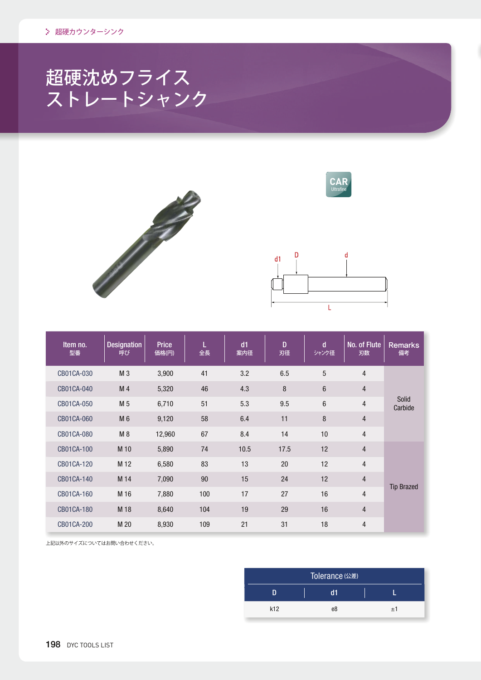## 超硬沈めフライス ストレートシャンク





| Item no.<br>型番 | <b>Designation</b><br>呼び | <b>Price</b><br>価格(円) | 全長  | d1<br>案内径 | D<br>刃径 | d<br>シャンク径     | No. of Flute<br>刃数 | <b>Remarks</b><br>備考 |
|----------------|--------------------------|-----------------------|-----|-----------|---------|----------------|--------------------|----------------------|
| CB01CA-030     | M <sub>3</sub>           | 3,900                 | 41  | 3.2       | 6.5     | 5              | $\overline{4}$     |                      |
| CB01CA-040     | M <sub>4</sub>           | 5,320                 | 46  | 4.3       | 8       | $6\phantom{1}$ | $\overline{4}$     |                      |
| CB01CA-050     | M <sub>5</sub>           | 6,710                 | 51  | 5.3       | 9.5     | 6              | $\overline{4}$     | Solid<br>Carbide     |
| CB01CA-060     | M 6                      | 9,120                 | 58  | 6.4       | 11      | 8              | $\overline{4}$     |                      |
| CB01CA-080     | M8                       | 12,960                | 67  | 8.4       | 14      | 10             | $\overline{4}$     |                      |
| CB01CA-100     | M 10                     | 5,890                 | 74  | 10.5      | 17.5    | 12             | $\overline{4}$     |                      |
| CB01CA-120     | M 12                     | 6,580                 | 83  | 13        | 20      | 12             | $\overline{4}$     |                      |
| CB01CA-140     | M 14                     | 7,090                 | 90  | 15        | 24      | 12             | $\overline{4}$     |                      |
| CB01CA-160     | M 16                     | 7,880                 | 100 | 17        | 27      | 16             | $\overline{4}$     | <b>Tip Brazed</b>    |
| CB01CA-180     | M 18                     | 8,640                 | 104 | 19        | 29      | 16             | $\overline{4}$     |                      |
| CB01CA-200     | M 20                     | 8,930                 | 109 | 21        | 31      | 18             | $\overline{4}$     |                      |

| Tolerance (公差) |    |    |  |  |  |  |  |  |
|----------------|----|----|--|--|--|--|--|--|
|                | d1 |    |  |  |  |  |  |  |
| k12            | e8 | ±1 |  |  |  |  |  |  |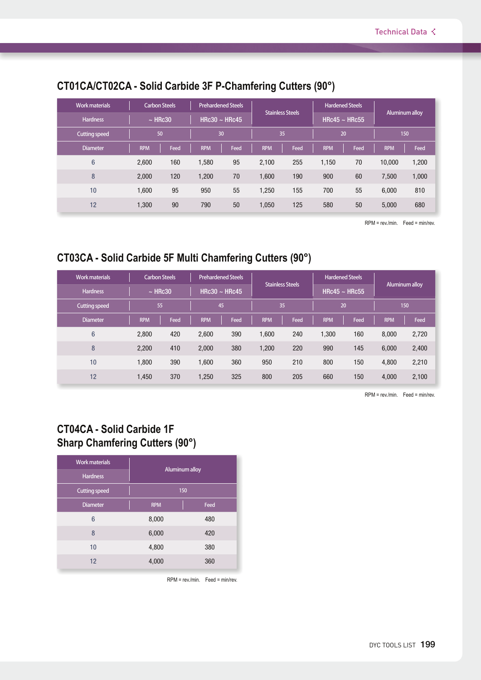| <b>Work materials</b> | <b>Carbon Steels</b> |      | <b>Prehardened Steels</b> |      |            |                                               | <b>Hardened Steels</b> |                |            |       |
|-----------------------|----------------------|------|---------------------------|------|------------|-----------------------------------------------|------------------------|----------------|------------|-------|
| <b>Hardness</b>       | $~\sim$ HRc30        |      | HRc30 $\sim$ HRc45        |      |            | <b>Stainless Steels</b><br>HRc45 $\sim$ HRc55 |                        | Aluminum alloy |            |       |
| <b>Cutting speed</b>  | 50                   |      | 30                        |      | 35         |                                               | 20                     |                | 150        |       |
| <b>Diameter</b>       | <b>RPM</b>           | Feed | <b>RPM</b>                | Feed | <b>RPM</b> | Feed                                          | <b>RPM</b>             | Feed           | <b>RPM</b> | Feed  |
| 6                     | 2.600                | 160  | 1,580                     | 95   | 2.100      | 255                                           | 1,150                  | 70             | 10,000     | 1,200 |
| 8                     | 2,000                | 120  | 1,200                     | 70   | 1,600      | 190                                           | 900                    | 60             | 7,500      | 1,000 |
| 10                    | 1,600                | 95   | 950                       | 55   | 1,250      | 155                                           | 700                    | 55             | 6,000      | 810   |
| 12                    | 1.300                | 90   | 790                       | 50   | 1,050      | 125                                           | 580                    | 50             | 5,000      | 680   |

### **CT01CA/CT02CA - Solid Carbide 3F P-Chamfering Cutters (90°)**

RPM = rev./min. Feed = min/rev.

### **CT03CA - Solid Carbide 5F Multi Chamfering Cutters (90°)**

| <b>Work materials</b> | <b>Carbon Steels</b> |      | <b>Prehardened Steels</b> |      |            |                         | <b>Hardened Steels</b> |                    |            |                |  |
|-----------------------|----------------------|------|---------------------------|------|------------|-------------------------|------------------------|--------------------|------------|----------------|--|
| <b>Hardness</b>       | $\sim$ HRc30         |      | HRc30 $\sim$ HRc45        |      |            | <b>Stainless Steels</b> |                        | HRc45 $\sim$ HRc55 |            | Aluminum alloy |  |
| <b>Cutting speed</b>  | 55                   |      | 45                        |      |            | 35                      | 20                     |                    | 150        |                |  |
| Diameter              | <b>RPM</b>           | Feed | <b>RPM</b>                | Feed | <b>RPM</b> | Feed                    | <b>RPM</b>             | Feed               | <b>RPM</b> | Feed           |  |
| $6\phantom{1}$        | 2.800                | 420  | 2.600                     | 390  | 1.600      | 240                     | 1.300                  | 160                | 8.000      | 2,720          |  |
| 8                     | 2.200                | 410  | 2.000                     | 380  | 1,200      | 220                     | 990                    | 145                | 6,000      | 2,400          |  |
| 10                    | 1.800                | 390  | 1.600                     | 360  | 950        | 210                     | 800                    | 150                | 4,800      | 2,210          |  |
| 12                    | 1.450                | 370  | 1,250                     | 325  | 800        | 205                     | 660                    | 150                | 4,000      | 2,100          |  |

RPM = rev./min. Feed = min/rev.

#### **CT04CA - Solid Carbide 1F Sharp Chamfering Cutters (90°)**

| <b>Work materials</b><br><b>Hardness</b> | Aluminum alloy |      |  |  |  |  |  |
|------------------------------------------|----------------|------|--|--|--|--|--|
| <b>Cutting speed</b>                     | 150            |      |  |  |  |  |  |
| <b>Diameter</b>                          | <b>RPM</b>     | Feed |  |  |  |  |  |
| 6                                        | 8,000          | 480  |  |  |  |  |  |
| 8                                        | 6,000          | 420  |  |  |  |  |  |
| 10                                       | 4,800          | 380  |  |  |  |  |  |
| 12                                       | 4,000          | 360  |  |  |  |  |  |

RPM = rev./min. Feed = min/rev.